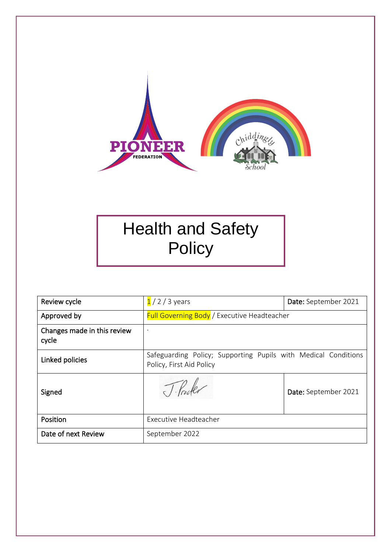

# Health and Safety **Policy**

| Review cycle                         | $1/2/3$ years                                                                              | Date: September 2021 |
|--------------------------------------|--------------------------------------------------------------------------------------------|----------------------|
| Approved by                          | <b>Full Governing Body</b> / Executive Headteacher                                         |                      |
| Changes made in this review<br>cycle | $\bullet$                                                                                  |                      |
| Linked policies                      | Safeguarding Policy; Supporting Pupils with Medical Conditions<br>Policy, First Aid Policy |                      |
| Signed                               |                                                                                            | Date: September 2021 |
| Position                             | Executive Headteacher                                                                      |                      |
| Date of next Review                  | September 2022                                                                             |                      |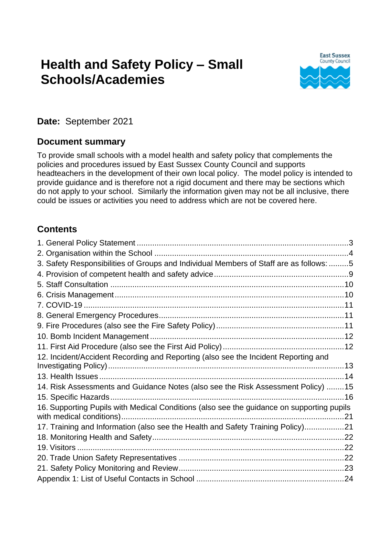# **Health and Safety Policy – Small Schools/Academies**



**Date:** September 2021

#### **Document summary**

To provide small schools with a model health and safety policy that complements the policies and procedures issued by East Sussex County Council and supports headteachers in the development of their own local policy. The model policy is intended to provide guidance and is therefore not a rigid document and there may be sections which do not apply to your school. Similarly the information given may not be all inclusive, there could be issues or activities you need to address which are not be covered here.

### **Contents**

| 3. Safety Responsibilities of Groups and Individual Members of Staff are as follows: 5    |  |
|-------------------------------------------------------------------------------------------|--|
|                                                                                           |  |
|                                                                                           |  |
|                                                                                           |  |
|                                                                                           |  |
|                                                                                           |  |
|                                                                                           |  |
|                                                                                           |  |
|                                                                                           |  |
| 12. Incident/Accident Recording and Reporting (also see the Incident Reporting and        |  |
|                                                                                           |  |
| 14. Risk Assessments and Guidance Notes (also see the Risk Assessment Policy) 15          |  |
|                                                                                           |  |
| 16. Supporting Pupils with Medical Conditions (also see the guidance on supporting pupils |  |
| 17. Training and Information (also see the Health and Safety Training Policy)21           |  |
|                                                                                           |  |
|                                                                                           |  |
|                                                                                           |  |
|                                                                                           |  |
|                                                                                           |  |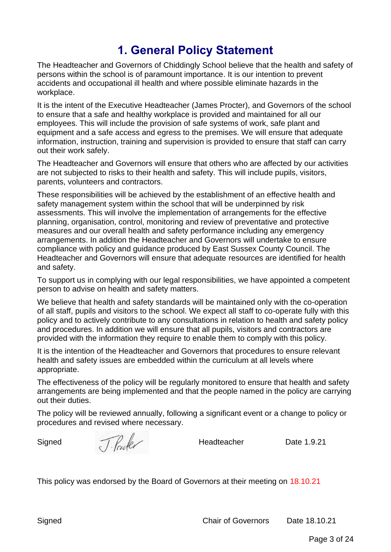### **1. General Policy Statement**

<span id="page-2-0"></span>The Headteacher and Governors of Chiddingly School believe that the health and safety of persons within the school is of paramount importance. It is our intention to prevent accidents and occupational ill health and where possible eliminate hazards in the workplace.

It is the intent of the Executive Headteacher (James Procter), and Governors of the school to ensure that a safe and healthy workplace is provided and maintained for all our employees. This will include the provision of safe systems of work, safe plant and equipment and a safe access and egress to the premises. We will ensure that adequate information, instruction, training and supervision is provided to ensure that staff can carry out their work safely.

The Headteacher and Governors will ensure that others who are affected by our activities are not subjected to risks to their health and safety. This will include pupils, visitors, parents, volunteers and contractors.

These responsibilities will be achieved by the establishment of an effective health and safety management system within the school that will be underpinned by risk assessments. This will involve the implementation of arrangements for the effective planning, organisation, control, monitoring and review of preventative and protective measures and our overall health and safety performance including any emergency arrangements. In addition the Headteacher and Governors will undertake to ensure compliance with policy and guidance produced by East Sussex County Council. The Headteacher and Governors will ensure that adequate resources are identified for health and safety.

To support us in complying with our legal responsibilities, we have appointed a competent person to advise on health and safety matters.

We believe that health and safety standards will be maintained only with the co-operation of all staff, pupils and visitors to the school. We expect all staff to co-operate fully with this policy and to actively contribute to any consultations in relation to health and safety policy and procedures. In addition we will ensure that all pupils, visitors and contractors are provided with the information they require to enable them to comply with this policy.

It is the intention of the Headteacher and Governors that procedures to ensure relevant health and safety issues are embedded within the curriculum at all levels where appropriate.

The effectiveness of the policy will be regularly monitored to ensure that health and safety arrangements are being implemented and that the people named in the policy are carrying out their duties.

The policy will be reviewed annually, following a significant event or a change to policy or procedures and revised where necessary.

Signed  $\int \int \frac{1}{\sqrt{1-\frac{1}{\sqrt{1-\frac{1}{\sqrt{1-\frac{1}{\sqrt{1-\frac{1}{\sqrt{1-\frac{1}{\sqrt{1-\frac{1}{\sqrt{1-\frac{1}{\sqrt{1-\frac{1}{\sqrt{1-\frac{1}{\sqrt{1-\frac{1}{\sqrt{1-\frac{1}{\sqrt{1-\frac{1}{\sqrt{1-\frac{1}{\sqrt{1-\frac{1}{\sqrt{1-\frac{1}{\sqrt{1-\frac{1}{\sqrt{1-\frac{1}{\sqrt{1-\frac{1}{\sqrt{1-\frac{1}{\sqrt{1-\frac{1}{\sqrt{1-\frac{1}{\sqrt{1-\frac{1}{\sqrt{1-\frac{$ 

This policy was endorsed by the Board of Governors at their meeting on 18.10.21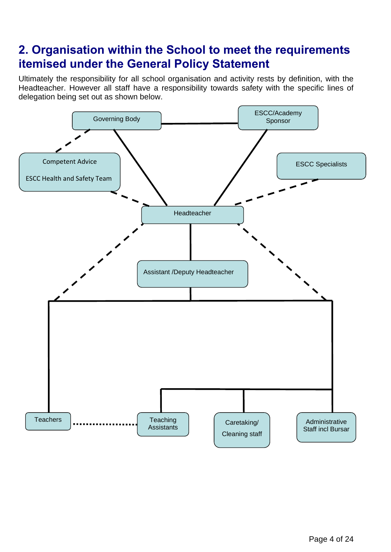### <span id="page-3-0"></span>**2. Organisation within the School to meet the requirements itemised under the General Policy Statement**

Ultimately the responsibility for all school organisation and activity rests by definition, with the Headteacher. However all staff have a responsibility towards safety with the specific lines of delegation being set out as shown below.

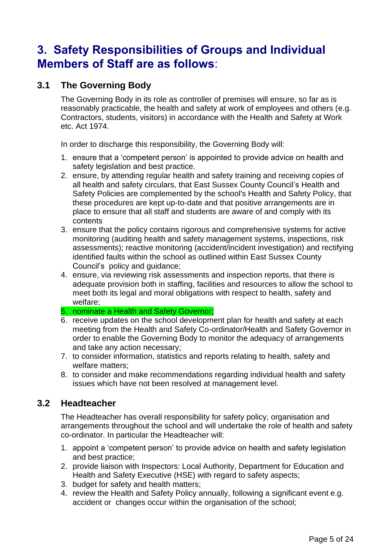### <span id="page-4-0"></span>**3. Safety Responsibilities of Groups and Individual Members of Staff are as follows**:

### **3.1 The Governing Body**

The Governing Body in its role as controller of premises will ensure, so far as is reasonably practicable, the health and safety at work of employees and others (e.g. Contractors, students, visitors) in accordance with the Health and Safety at Work etc. Act 1974.

In order to discharge this responsibility, the Governing Body will:

- 1. ensure that a 'competent person' is appointed to provide advice on health and safety legislation and best practice.
- 2. ensure, by attending regular health and safety training and receiving copies of all health and safety circulars, that East Sussex County Council's Health and Safety Policies are complemented by the school's Health and Safety Policy, that these procedures are kept up-to-date and that positive arrangements are in place to ensure that all staff and students are aware of and comply with its contents
- 3. ensure that the policy contains rigorous and comprehensive systems for active monitoring (auditing health and safety management systems, inspections, risk assessments); reactive monitoring (accident/incident investigation) and rectifying identified faults within the school as outlined within East Sussex County Council's policy and guidance;
- 4. ensure, via reviewing risk assessments and inspection reports, that there is adequate provision both in staffing, facilities and resources to allow the school to meet both its legal and moral obligations with respect to health, safety and welfare;

#### 5. nominate a Health and Safety Governor;

- 6. receive updates on the school development plan for health and safety at each meeting from the Health and Safety Co-ordinator/Health and Safety Governor in order to enable the Governing Body to monitor the adequacy of arrangements and take any action necessary;
- 7. to consider information, statistics and reports relating to health, safety and welfare matters;
- 8. to consider and make recommendations regarding individual health and safety issues which have not been resolved at management level.

#### **3.2 Headteacher**

The Headteacher has overall responsibility for safety policy, organisation and arrangements throughout the school and will undertake the role of health and safety co-ordinator. In particular the Headteacher will:

- 1. appoint a 'competent person' to provide advice on health and safety legislation and best practice;
- 2. provide liaison with Inspectors: Local Authority, Department for Education and Health and Safety Executive (HSE) with regard to safety aspects;
- 3. budget for safety and health matters;
- 4. review the Health and Safety Policy annually, following a significant event e.g. accident or changes occur within the organisation of the school;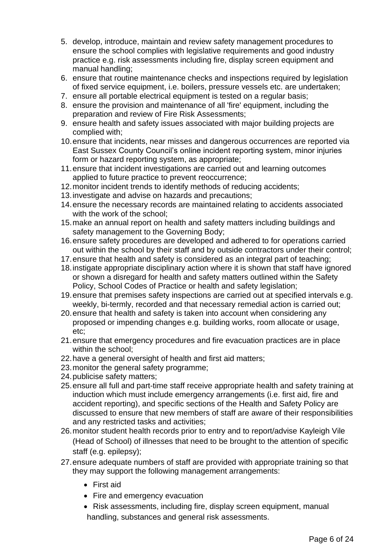- 5. develop, introduce, maintain and review safety management procedures to ensure the school complies with legislative requirements and good industry practice e.g. risk assessments including fire, display screen equipment and manual handling;
- 6. ensure that routine maintenance checks and inspections required by legislation of fixed service equipment, i.e. boilers, pressure vessels etc. are undertaken;
- 7. ensure all portable electrical equipment is tested on a regular basis;
- 8. ensure the provision and maintenance of all 'fire' equipment, including the preparation and review of Fire Risk Assessments;
- 9. ensure health and safety issues associated with major building projects are complied with;
- 10.ensure that incidents, near misses and dangerous occurrences are reported via East Sussex County Council's online incident reporting system, minor injuries form or hazard reporting system, as appropriate;
- 11.ensure that incident investigations are carried out and learning outcomes applied to future practice to prevent reoccurrence;
- 12.monitor incident trends to identify methods of reducing accidents;
- 13.investigate and advise on hazards and precautions;
- 14.ensure the necessary records are maintained relating to accidents associated with the work of the school;
- 15.make an annual report on health and safety matters including buildings and safety management to the Governing Body;
- 16.ensure safety procedures are developed and adhered to for operations carried out within the school by their staff and by outside contractors under their control;
- 17.ensure that health and safety is considered as an integral part of teaching;
- 18.instigate appropriate disciplinary action where it is shown that staff have ignored or shown a disregard for health and safety matters outlined within the Safety Policy, School Codes of Practice or health and safety legislation;
- 19.ensure that premises safety inspections are carried out at specified intervals e.g. weekly, bi-termly, recorded and that necessary remedial action is carried out;
- 20.ensure that health and safety is taken into account when considering any proposed or impending changes e.g. building works, room allocate or usage, etc;
- 21.ensure that emergency procedures and fire evacuation practices are in place within the school:
- 22.have a general oversight of health and first aid matters;
- 23.monitor the general safety programme;
- 24.publicise safety matters;
- 25.ensure all full and part-time staff receive appropriate health and safety training at induction which must include emergency arrangements (i.e. first aid, fire and accident reporting), and specific sections of the Health and Safety Policy are discussed to ensure that new members of staff are aware of their responsibilities and any restricted tasks and activities;
- 26.monitor student health records prior to entry and to report/advise Kayleigh Vile (Head of School) of illnesses that need to be brought to the attention of specific staff (e.g. epilepsy);
- 27.ensure adequate numbers of staff are provided with appropriate training so that they may support the following management arrangements:
	- First aid
	- Fire and emergency evacuation
	- Risk assessments, including fire, display screen equipment, manual handling, substances and general risk assessments.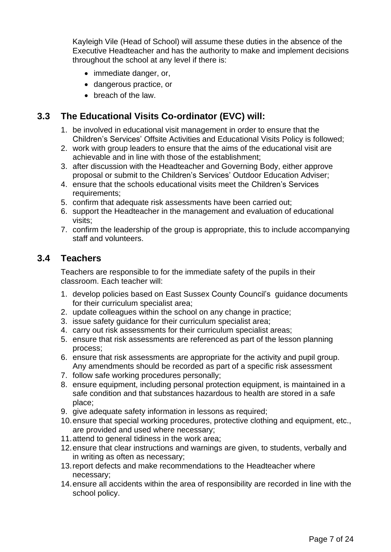Kayleigh Vile (Head of School) will assume these duties in the absence of the Executive Headteacher and has the authority to make and implement decisions throughout the school at any level if there is:

- immediate danger, or,
- dangerous practice, or
- breach of the law.

#### **3.3 The Educational Visits Co-ordinator (EVC) will:**

- 1. be involved in educational visit management in order to ensure that the Children's Services' Offsite Activities and Educational Visits Policy is followed;
- 2. work with group leaders to ensure that the aims of the educational visit are achievable and in line with those of the establishment;
- 3. after discussion with the Headteacher and Governing Body, either approve proposal or submit to the Children's Services' Outdoor Education Adviser;
- 4. ensure that the schools educational visits meet the Children's Services requirements;
- 5. confirm that adequate risk assessments have been carried out;
- 6. support the Headteacher in the management and evaluation of educational visits;
- 7. confirm the leadership of the group is appropriate, this to include accompanying staff and volunteers.

#### **3.4 Teachers**

Teachers are responsible to for the immediate safety of the pupils in their classroom. Each teacher will:

- 1. develop policies based on East Sussex County Council's guidance documents for their curriculum specialist area;
- 2. update colleagues within the school on any change in practice;
- 3. issue safety guidance for their curriculum specialist area;
- 4. carry out risk assessments for their curriculum specialist areas;
- 5. ensure that risk assessments are referenced as part of the lesson planning process;
- 6. ensure that risk assessments are appropriate for the activity and pupil group. Any amendments should be recorded as part of a specific risk assessment
- 7. follow safe working procedures personally;
- 8. ensure equipment, including personal protection equipment, is maintained in a safe condition and that substances hazardous to health are stored in a safe place;
- 9. give adequate safety information in lessons as required;
- 10.ensure that special working procedures, protective clothing and equipment, etc., are provided and used where necessary;
- 11.attend to general tidiness in the work area;
- 12.ensure that clear instructions and warnings are given, to students, verbally and in writing as often as necessary;
- 13.report defects and make recommendations to the Headteacher where necessary;
- 14.ensure all accidents within the area of responsibility are recorded in line with the school policy.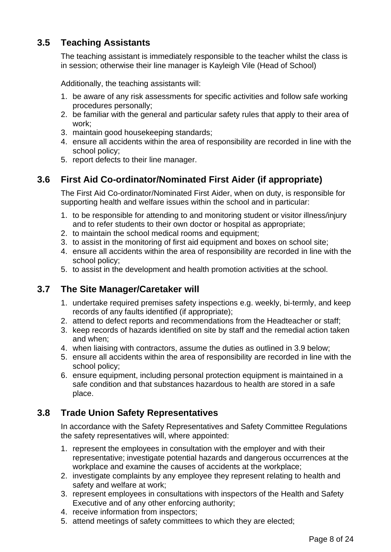### **3.5 Teaching Assistants**

The teaching assistant is immediately responsible to the teacher whilst the class is in session; otherwise their line manager is Kayleigh Vile (Head of School)

Additionally, the teaching assistants will:

- 1. be aware of any risk assessments for specific activities and follow safe working procedures personally;
- 2. be familiar with the general and particular safety rules that apply to their area of work;
- 3. maintain good housekeeping standards;
- 4. ensure all accidents within the area of responsibility are recorded in line with the school policy;
- 5. report defects to their line manager.

### **3.6 First Aid Co-ordinator/Nominated First Aider (if appropriate)**

The First Aid Co-ordinator/Nominated First Aider, when on duty, is responsible for supporting health and welfare issues within the school and in particular:

- 1. to be responsible for attending to and monitoring student or visitor illness/injury and to refer students to their own doctor or hospital as appropriate;
- 2. to maintain the school medical rooms and equipment;
- 3. to assist in the monitoring of first aid equipment and boxes on school site;
- 4. ensure all accidents within the area of responsibility are recorded in line with the school policy;
- 5. to assist in the development and health promotion activities at the school.

### **3.7 The Site Manager/Caretaker will**

- 1. undertake required premises safety inspections e.g. weekly, bi-termly, and keep records of any faults identified (if appropriate);
- 2. attend to defect reports and recommendations from the Headteacher or staff;
- 3. keep records of hazards identified on site by staff and the remedial action taken and when;
- 4. when liaising with contractors, assume the duties as outlined in 3.9 below;
- 5. ensure all accidents within the area of responsibility are recorded in line with the school policy;
- 6. ensure equipment, including personal protection equipment is maintained in a safe condition and that substances hazardous to health are stored in a safe place.

### **3.8 Trade Union Safety Representatives**

In accordance with the Safety Representatives and Safety Committee Regulations the safety representatives will, where appointed:

- 1. represent the employees in consultation with the employer and with their representative; investigate potential hazards and dangerous occurrences at the workplace and examine the causes of accidents at the workplace;
- 2. investigate complaints by any employee they represent relating to health and safety and welfare at work;
- 3. represent employees in consultations with inspectors of the Health and Safety Executive and of any other enforcing authority;
- 4. receive information from inspectors;
- 5. attend meetings of safety committees to which they are elected;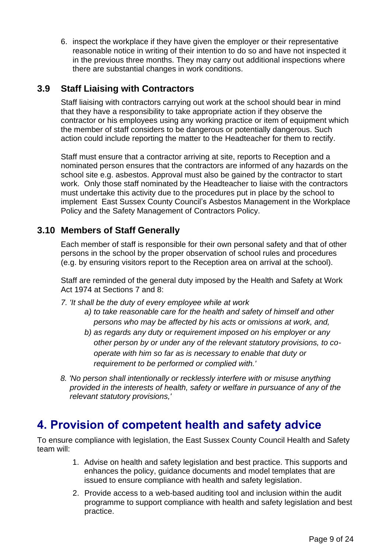6. inspect the workplace if they have given the employer or their representative reasonable notice in writing of their intention to do so and have not inspected it in the previous three months. They may carry out additional inspections where there are substantial changes in work conditions.

### **3.9 Staff Liaising with Contractors**

Staff liaising with contractors carrying out work at the school should bear in mind that they have a responsibility to take appropriate action if they observe the contractor or his employees using any working practice or item of equipment which the member of staff considers to be dangerous or potentially dangerous. Such action could include reporting the matter to the Headteacher for them to rectify.

Staff must ensure that a contractor arriving at site, reports to Reception and a nominated person ensures that the contractors are informed of any hazards on the school site e.g. asbestos. Approval must also be gained by the contractor to start work. Only those staff nominated by the Headteacher to liaise with the contractors must undertake this activity due to the procedures put in place by the school to implement East Sussex County Council's Asbestos Management in the Workplace Policy and the Safety Management of Contractors Policy.

### **3.10 Members of Staff Generally**

Each member of staff is responsible for their own personal safety and that of other persons in the school by the proper observation of school rules and procedures (e.g. by ensuring visitors report to the Reception area on arrival at the school).

Staff are reminded of the general duty imposed by the Health and Safety at Work Act 1974 at Sections 7 and 8:

*7. 'It shall be the duty of every employee while at work*

- *a) to take reasonable care for the health and safety of himself and other persons who may be affected by his acts or omissions at work, and,*
- *b) as regards any duty or requirement imposed on his employer or any other person by or under any of the relevant statutory provisions, to cooperate with him so far as is necessary to enable that duty or requirement to be performed or complied with.'*
- *8. 'No person shall intentionally or recklessly interfere with or misuse anything provided in the interests of health, safety or welfare in pursuance of any of the relevant statutory provisions,'*

### <span id="page-8-0"></span>**4. Provision of competent health and safety advice**

To ensure compliance with legislation, the East Sussex County Council Health and Safety team will:

- 1. Advise on health and safety legislation and best practice. This supports and enhances the policy, guidance documents and model templates that are issued to ensure compliance with health and safety legislation.
- 2. Provide access to a web-based auditing tool and inclusion within the audit programme to support compliance with health and safety legislation and best practice.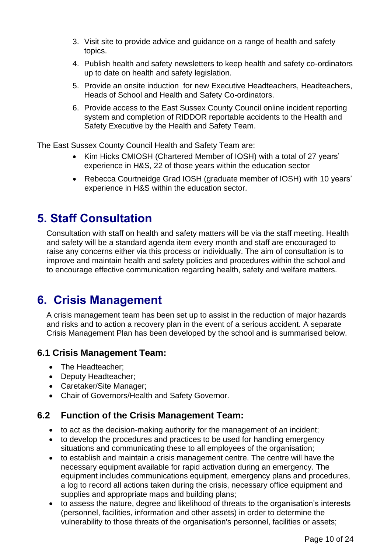- 3. Visit site to provide advice and guidance on a range of health and safety topics.
- 4. Publish health and safety newsletters to keep health and safety co-ordinators up to date on health and safety legislation.
- 5. Provide an onsite induction for new Executive Headteachers, Headteachers, Heads of School and Health and Safety Co-ordinators.
- 6. Provide access to the East Sussex County Council online incident reporting system and completion of RIDDOR reportable accidents to the Health and Safety Executive by the Health and Safety Team.

The East Sussex County Council Health and Safety Team are:

- Kim Hicks CMIOSH (Chartered Member of IOSH) with a total of 27 years' experience in H&S, 22 of those years within the education sector
- Rebecca Courtneidge Grad IOSH (graduate member of IOSH) with 10 years' experience in H&S within the education sector.

### <span id="page-9-0"></span>**5. Staff Consultation**

Consultation with staff on health and safety matters will be via the staff meeting. Health and safety will be a standard agenda item every month and staff are encouraged to raise any concerns either via this process or individually. The aim of consultation is to improve and maintain health and safety policies and procedures within the school and to encourage effective communication regarding health, safety and welfare matters.

### <span id="page-9-1"></span>**6. Crisis Management**

A crisis management team has been set up to assist in the reduction of major hazards and risks and to action a recovery plan in the event of a serious accident. A separate Crisis Management Plan has been developed by the school and is summarised below.

#### **6.1 Crisis Management Team:**

- The Headteacher:
- Deputy Headteacher;
- Caretaker/Site Manager;
- Chair of Governors/Health and Safety Governor.

### **6.2 Function of the Crisis Management Team:**

- to act as the decision-making authority for the management of an incident;
- to develop the procedures and practices to be used for handling emergency situations and communicating these to all employees of the organisation;
- to establish and maintain a crisis management centre. The centre will have the necessary equipment available for rapid activation during an emergency. The equipment includes communications equipment, emergency plans and procedures, a log to record all actions taken during the crisis, necessary office equipment and supplies and appropriate maps and building plans;
- to assess the nature, degree and likelihood of threats to the organisation's interests (personnel, facilities, information and other assets) in order to determine the vulnerability to those threats of the organisation's personnel, facilities or assets;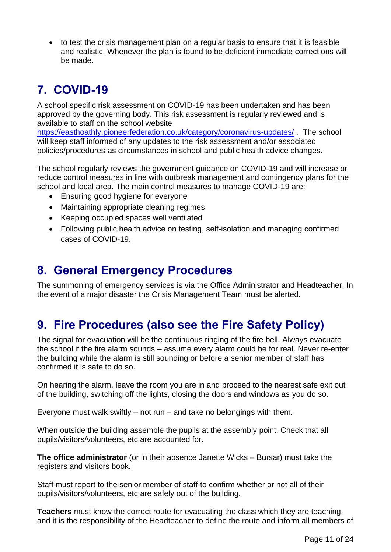• to test the crisis management plan on a regular basis to ensure that it is feasible and realistic. Whenever the plan is found to be deficient immediate corrections will be made.

# <span id="page-10-0"></span>**7. COVID-19**

A school specific risk assessment on COVID-19 has been undertaken and has been approved by the governing body. This risk assessment is regularly reviewed and is available to staff on the school website

<https://easthoathly.pioneerfederation.co.uk/category/coronavirus-updates/> . The school will keep staff informed of any updates to the risk assessment and/or associated policies/procedures as circumstances in school and public health advice changes.

The school regularly reviews the government guidance on COVID-19 and will increase or reduce control measures in line with outbreak management and contingency plans for the school and local area. The main control measures to manage COVID-19 are:

- Ensuring good hygiene for everyone
- Maintaining appropriate cleaning regimes
- Keeping occupied spaces well ventilated
- Following public health advice on testing, self-isolation and managing confirmed cases of COVID-19.

### <span id="page-10-1"></span>**8. General Emergency Procedures**

The summoning of emergency services is via the Office Administrator and Headteacher. In the event of a major disaster the Crisis Management Team must be alerted.

# <span id="page-10-2"></span>**9. Fire Procedures (also see the Fire Safety Policy)**

The signal for evacuation will be the continuous ringing of the fire bell. Always evacuate the school if the fire alarm sounds – assume every alarm could be for real. Never re-enter the building while the alarm is still sounding or before a senior member of staff has confirmed it is safe to do so.

On hearing the alarm, leave the room you are in and proceed to the nearest safe exit out of the building, switching off the lights, closing the doors and windows as you do so.

Everyone must walk swiftly  $-$  not run  $-$  and take no belongings with them.

When outside the building assemble the pupils at the assembly point. Check that all pupils/visitors/volunteers, etc are accounted for.

**The office administrator** (or in their absence Janette Wicks – Bursar) must take the registers and visitors book.

Staff must report to the senior member of staff to confirm whether or not all of their pupils/visitors/volunteers, etc are safely out of the building.

**Teachers** must know the correct route for evacuating the class which they are teaching, and it is the responsibility of the Headteacher to define the route and inform all members of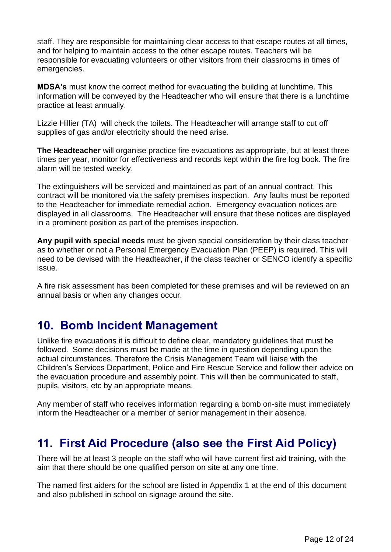staff. They are responsible for maintaining clear access to that escape routes at all times, and for helping to maintain access to the other escape routes. Teachers will be responsible for evacuating volunteers or other visitors from their classrooms in times of emergencies.

**MDSA's** must know the correct method for evacuating the building at lunchtime. This information will be conveyed by the Headteacher who will ensure that there is a lunchtime practice at least annually.

Lizzie Hillier (TA) will check the toilets. The Headteacher will arrange staff to cut off supplies of gas and/or electricity should the need arise.

**The Headteacher** will organise practice fire evacuations as appropriate, but at least three times per year, monitor for effectiveness and records kept within the fire log book. The fire alarm will be tested weekly.

The extinguishers will be serviced and maintained as part of an annual contract. This contract will be monitored via the safety premises inspection. Any faults must be reported to the Headteacher for immediate remedial action. Emergency evacuation notices are displayed in all classrooms. The Headteacher will ensure that these notices are displayed in a prominent position as part of the premises inspection.

**Any pupil with special needs** must be given special consideration by their class teacher as to whether or not a Personal Emergency Evacuation Plan (PEEP) is required. This will need to be devised with the Headteacher, if the class teacher or SENCO identify a specific issue.

A fire risk assessment has been completed for these premises and will be reviewed on an annual basis or when any changes occur.

### <span id="page-11-0"></span>**10. Bomb Incident Management**

Unlike fire evacuations it is difficult to define clear, mandatory guidelines that must be followed. Some decisions must be made at the time in question depending upon the actual circumstances. Therefore the Crisis Management Team will liaise with the Children's Services Department, Police and Fire Rescue Service and follow their advice on the evacuation procedure and assembly point. This will then be communicated to staff, pupils, visitors, etc by an appropriate means.

Any member of staff who receives information regarding a bomb on-site must immediately inform the Headteacher or a member of senior management in their absence.

### <span id="page-11-1"></span>**11. First Aid Procedure (also see the First Aid Policy)**

There will be at least 3 people on the staff who will have current first aid training, with the aim that there should be one qualified person on site at any one time.

The named first aiders for the school are listed in Appendix 1 at the end of this document and also published in school on signage around the site.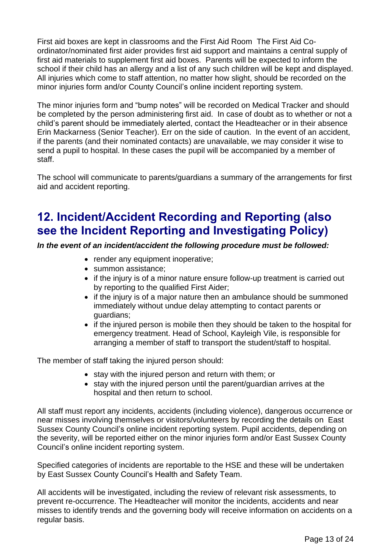First aid boxes are kept in classrooms and the First Aid Room The First Aid Coordinator/nominated first aider provides first aid support and maintains a central supply of first aid materials to supplement first aid boxes. Parents will be expected to inform the school if their child has an allergy and a list of any such children will be kept and displayed. All injuries which come to staff attention, no matter how slight, should be recorded on the minor injuries form and/or County Council's online incident reporting system.

The minor injuries form and "bump notes" will be recorded on Medical Tracker and should be completed by the person administering first aid. In case of doubt as to whether or not a child's parent should be immediately alerted, contact the Headteacher or in their absence Erin Mackarness (Senior Teacher). Err on the side of caution. In the event of an accident, if the parents (and their nominated contacts) are unavailable, we may consider it wise to send a pupil to hospital. In these cases the pupil will be accompanied by a member of staff.

The school will communicate to parents/guardians a summary of the arrangements for first aid and accident reporting.

## <span id="page-12-0"></span>**12. Incident/Accident Recording and Reporting (also see the Incident Reporting and Investigating Policy)**

*In the event of an incident/accident the following procedure must be followed:*

- render any equipment inoperative;
- summon assistance;
- if the injury is of a minor nature ensure follow-up treatment is carried out by reporting to the qualified First Aider;
- if the injury is of a major nature then an ambulance should be summoned immediately without undue delay attempting to contact parents or guardians;
- if the injured person is mobile then they should be taken to the hospital for emergency treatment. Head of School, Kayleigh Vile, is responsible for arranging a member of staff to transport the student/staff to hospital.

The member of staff taking the injured person should:

- stay with the injured person and return with them; or
- stay with the injured person until the parent/guardian arrives at the hospital and then return to school.

All staff must report any incidents, accidents (including violence), dangerous occurrence or near misses involving themselves or visitors/volunteers by recording the details on East Sussex County Council's online incident reporting system. Pupil accidents, depending on the severity, will be reported either on the minor injuries form and/or East Sussex County Council's online incident reporting system.

Specified categories of incidents are reportable to the HSE and these will be undertaken by East Sussex County Council's Health and Safety Team.

All accidents will be investigated, including the review of relevant risk assessments, to prevent re-occurrence. The Headteacher will monitor the incidents, accidents and near misses to identify trends and the governing body will receive information on accidents on a regular basis.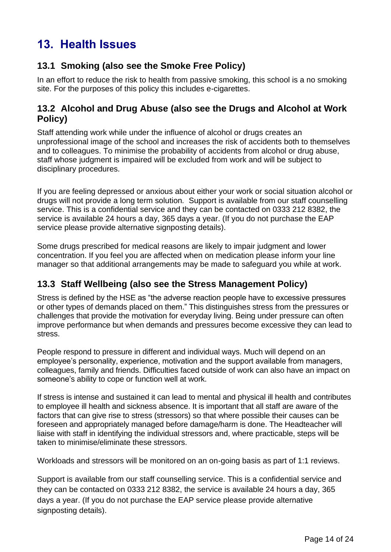# <span id="page-13-0"></span>**13. Health Issues**

### **13.1 Smoking (also see the Smoke Free Policy)**

In an effort to reduce the risk to health from passive smoking, this school is a no smoking site. For the purposes of this policy this includes e-cigarettes.

### **13.2 Alcohol and Drug Abuse (also see the Drugs and Alcohol at Work Policy)**

Staff attending work while under the influence of alcohol or drugs creates an unprofessional image of the school and increases the risk of accidents both to themselves and to colleagues. To minimise the probability of accidents from alcohol or drug abuse, staff whose judgment is impaired will be excluded from work and will be subject to disciplinary procedures.

If you are feeling depressed or anxious about either your work or social situation alcohol or drugs will not provide a long term solution*.* Support is available from our staff counselling service. This is a confidential service and they can be contacted on 0333 212 8382, the service is available 24 hours a day, 365 days a year. (If you do not purchase the EAP service please provide alternative signposting details).

Some drugs prescribed for medical reasons are likely to impair judgment and lower concentration. If you feel you are affected when on medication please inform your line manager so that additional arrangements may be made to safeguard you while at work.

### **13.3 Staff Wellbeing (also see the Stress Management Policy)**

Stress is defined by the HSE as "the adverse reaction people have to excessive pressures or other types of demands placed on them." This distinguishes stress from the pressures or challenges that provide the motivation for everyday living. Being under pressure can often improve performance but when demands and pressures become excessive they can lead to stress.

People respond to pressure in different and individual ways. Much will depend on an employee's personality, experience, motivation and the support available from managers, colleagues, family and friends. Difficulties faced outside of work can also have an impact on someone's ability to cope or function well at work.

If stress is intense and sustained it can lead to mental and physical ill health and contributes to employee ill health and sickness absence. It is important that all staff are aware of the factors that can give rise to stress (stressors) so that where possible their causes can be foreseen and appropriately managed before damage/harm is done. The Headteacher will liaise with staff in identifying the individual stressors and, where practicable, steps will be taken to minimise/eliminate these stressors.

Workloads and stressors will be monitored on an on-going basis as part of 1:1 reviews.

Support is available from our staff counselling service. This is a confidential service and they can be contacted on 0333 212 8382, the service is available 24 hours a day, 365 days a year. (If you do not purchase the EAP service please provide alternative signposting details).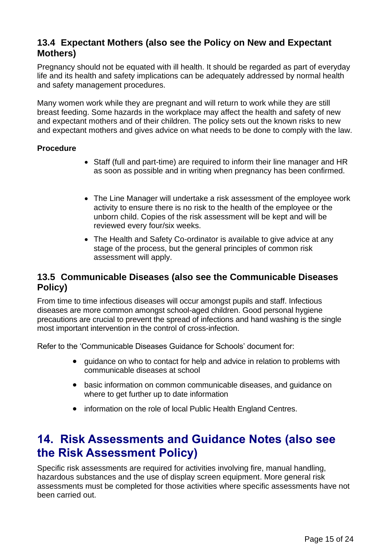### **13.4 Expectant Mothers (also see the Policy on New and Expectant Mothers)**

Pregnancy should not be equated with ill health. It should be regarded as part of everyday life and its health and safety implications can be adequately addressed by normal health and safety management procedures.

Many women work while they are pregnant and will return to work while they are still breast feeding. Some hazards in the workplace may affect the health and safety of new and expectant mothers and of their children. The policy sets out the known risks to new and expectant mothers and gives advice on what needs to be done to comply with the law.

#### **Procedure**

- Staff (full and part-time) are required to inform their line manager and HR as soon as possible and in writing when pregnancy has been confirmed.
- The Line Manager will undertake a risk assessment of the employee work activity to ensure there is no risk to the health of the employee or the unborn child. Copies of the risk assessment will be kept and will be reviewed every four/six weeks.
- The Health and Safety Co-ordinator is available to give advice at any stage of the process, but the general principles of common risk assessment will apply.

#### **13.5 Communicable Diseases (also see the Communicable Diseases Policy)**

From time to time infectious diseases will occur amongst pupils and staff. Infectious diseases are more common amongst school-aged children. Good personal hygiene precautions are crucial to prevent the spread of infections and hand washing is the single most important intervention in the control of cross-infection.

Refer to the 'Communicable Diseases Guidance for Schools' document for:

- guidance on who to contact for help and advice in relation to problems with communicable diseases at school
- basic information on common communicable diseases, and guidance on where to get further up to date information
- information on the role of local Public Health England Centres.

### <span id="page-14-0"></span>**14. Risk Assessments and Guidance Notes (also see the Risk Assessment Policy)**

Specific risk assessments are required for activities involving fire, manual handling, hazardous substances and the use of display screen equipment. More general risk assessments must be completed for those activities where specific assessments have not been carried out.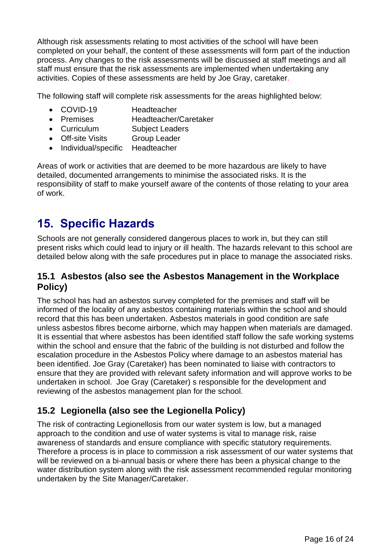Although risk assessments relating to most activities of the school will have been completed on your behalf, the content of these assessments will form part of the induction process. Any changes to the risk assessments will be discussed at staff meetings and all staff must ensure that the risk assessments are implemented when undertaking any activities. Copies of these assessments are held by Joe Gray, caretaker.

The following staff will complete risk assessments for the areas highlighted below:

- COVID-19 Headteacher
- Premises Headteacher/Caretaker
- Curriculum Subject Leaders
- Off-site Visits Group Leader
- Individual/specific Headteacher

Areas of work or activities that are deemed to be more hazardous are likely to have detailed, documented arrangements to minimise the associated risks. It is the responsibility of staff to make yourself aware of the contents of those relating to your area of work.

### <span id="page-15-0"></span>**15. Specific Hazards**

Schools are not generally considered dangerous places to work in, but they can still present risks which could lead to injury or ill health. The hazards relevant to this school are detailed below along with the safe procedures put in place to manage the associated risks.

#### **15.1 Asbestos (also see the Asbestos Management in the Workplace Policy)**

The school has had an asbestos survey completed for the premises and staff will be informed of the locality of any asbestos containing materials within the school and should record that this has been undertaken. Asbestos materials in good condition are safe unless asbestos fibres become airborne, which may happen when materials are damaged. It is essential that where asbestos has been identified staff follow the safe working systems within the school and ensure that the fabric of the building is not disturbed and follow the escalation procedure in the Asbestos Policy where damage to an asbestos material has been identified. Joe Gray (Caretaker) has been nominated to liaise with contractors to ensure that they are provided with relevant safety information and will approve works to be undertaken in school. Joe Gray (Caretaker) s responsible for the development and reviewing of the asbestos management plan for the school.

### **15.2 Legionella (also see the Legionella Policy)**

The risk of contracting Legionellosis from our water system is low, but a managed approach to the condition and use of water systems is vital to manage risk, raise awareness of standards and ensure compliance with specific statutory requirements. Therefore a process is in place to commission a risk assessment of our water systems that will be reviewed on a bi-annual basis or where there has been a physical change to the water distribution system along with the risk assessment recommended regular monitoring undertaken by the Site Manager/Caretaker.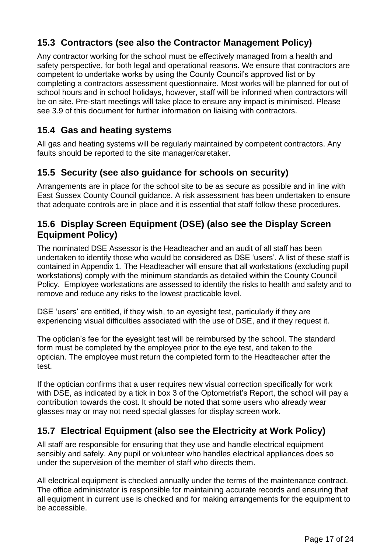### **15.3 Contractors (see also the Contractor Management Policy)**

Any contractor working for the school must be effectively managed from a health and safety perspective, for both legal and operational reasons. We ensure that contractors are competent to undertake works by using the County Council's approved list or by completing a contractors assessment questionnaire. Most works will be planned for out of school hours and in school holidays, however, staff will be informed when contractors will be on site. Pre-start meetings will take place to ensure any impact is minimised. Please see 3.9 of this document for further information on liaising with contractors.

### **15.4 Gas and heating systems**

All gas and heating systems will be regularly maintained by competent contractors. Any faults should be reported to the site manager/caretaker.

### **15.5 Security (see also guidance for schools on security)**

Arrangements are in place for the school site to be as secure as possible and in line with East Sussex County Council guidance. A risk assessment has been undertaken to ensure that adequate controls are in place and it is essential that staff follow these procedures.

### **15.6 Display Screen Equipment (DSE) (also see the Display Screen Equipment Policy)**

The nominated DSE Assessor is the Headteacher and an audit of all staff has been undertaken to identify those who would be considered as DSE 'users'. A list of these staff is contained in Appendix 1. The Headteacher will ensure that all workstations (excluding pupil workstations) comply with the minimum standards as detailed within the County Council Policy. Employee workstations are assessed to identify the risks to health and safety and to remove and reduce any risks to the lowest practicable level.

DSE 'users' are entitled, if they wish, to an eyesight test, particularly if they are experiencing visual difficulties associated with the use of DSE, and if they request it.

The optician's fee for the eyesight test will be reimbursed by the school. The standard form must be completed by the employee prior to the eye test, and taken to the optician. The employee must return the completed form to the Headteacher after the test.

If the optician confirms that a user requires new visual correction specifically for work with DSE, as indicated by a tick in box 3 of the Optometrist's Report, the school will pay a contribution towards the cost. It should be noted that some users who already wear glasses may or may not need special glasses for display screen work.

### **15.7 Electrical Equipment (also see the Electricity at Work Policy)**

All staff are responsible for ensuring that they use and handle electrical equipment sensibly and safely. Any pupil or volunteer who handles electrical appliances does so under the supervision of the member of staff who directs them.

All electrical equipment is checked annually under the terms of the maintenance contract. The office administrator is responsible for maintaining accurate records and ensuring that all equipment in current use is checked and for making arrangements for the equipment to be accessible.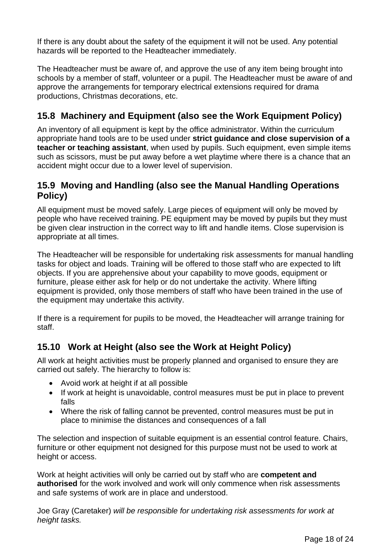If there is any doubt about the safety of the equipment it will not be used. Any potential hazards will be reported to the Headteacher immediately.

The Headteacher must be aware of, and approve the use of any item being brought into schools by a member of staff, volunteer or a pupil. The Headteacher must be aware of and approve the arrangements for temporary electrical extensions required for drama productions, Christmas decorations, etc.

### **15.8 Machinery and Equipment (also see the Work Equipment Policy)**

An inventory of all equipment is kept by the office administrator. Within the curriculum appropriate hand tools are to be used under **strict guidance and close supervision of a teacher or teaching assistant**, when used by pupils. Such equipment, even simple items such as scissors, must be put away before a wet playtime where there is a chance that an accident might occur due to a lower level of supervision.

### **15.9 Moving and Handling (also see the Manual Handling Operations Policy)**

All equipment must be moved safely. Large pieces of equipment will only be moved by people who have received training. PE equipment may be moved by pupils but they must be given clear instruction in the correct way to lift and handle items. Close supervision is appropriate at all times.

The Headteacher will be responsible for undertaking risk assessments for manual handling tasks for object and loads. Training will be offered to those staff who are expected to lift objects. If you are apprehensive about your capability to move goods, equipment or furniture, please either ask for help or do not undertake the activity. Where lifting equipment is provided, only those members of staff who have been trained in the use of the equipment may undertake this activity.

If there is a requirement for pupils to be moved, the Headteacher will arrange training for staff.

### **15.10 Work at Height (also see the Work at Height Policy)**

All work at height activities must be properly planned and organised to ensure they are carried out safely. The hierarchy to follow is:

- Avoid work at height if at all possible
- If work at height is unavoidable, control measures must be put in place to prevent falls
- Where the risk of falling cannot be prevented, control measures must be put in place to minimise the distances and consequences of a fall

The selection and inspection of suitable equipment is an essential control feature. Chairs, furniture or other equipment not designed for this purpose must not be used to work at height or access.

Work at height activities will only be carried out by staff who are **competent and authorised** for the work involved and work will only commence when risk assessments and safe systems of work are in place and understood.

Joe Gray (Caretaker) *will be responsible for undertaking risk assessments for work at height tasks.*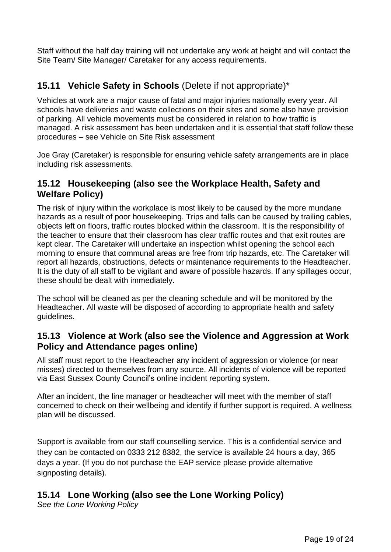Staff without the half day training will not undertake any work at height and will contact the Site Team/ Site Manager/ Caretaker for any access requirements.

### **15.11 Vehicle Safety in Schools** (Delete if not appropriate)\*

Vehicles at work are a major cause of fatal and major injuries nationally every year. All schools have deliveries and waste collections on their sites and some also have provision of parking. All vehicle movements must be considered in relation to how traffic is managed. A risk assessment has been undertaken and it is essential that staff follow these procedures – see Vehicle on Site Risk assessment

Joe Gray (Caretaker) is responsible for ensuring vehicle safety arrangements are in place including risk assessments.

#### **15.12 Housekeeping (also see the Workplace Health, Safety and Welfare Policy)**

The risk of injury within the workplace is most likely to be caused by the more mundane hazards as a result of poor housekeeping. Trips and falls can be caused by trailing cables, objects left on floors, traffic routes blocked within the classroom. It is the responsibility of the teacher to ensure that their classroom has clear traffic routes and that exit routes are kept clear. The Caretaker will undertake an inspection whilst opening the school each morning to ensure that communal areas are free from trip hazards, etc. The Caretaker will report all hazards, obstructions, defects or maintenance requirements to the Headteacher. It is the duty of all staff to be vigilant and aware of possible hazards. If any spillages occur, these should be dealt with immediately.

The school will be cleaned as per the cleaning schedule and will be monitored by the Headteacher. All waste will be disposed of according to appropriate health and safety guidelines.

### **15.13 Violence at Work (also see the Violence and Aggression at Work Policy and Attendance pages online)**

All staff must report to the Headteacher any incident of aggression or violence (or near misses) directed to themselves from any source. All incidents of violence will be reported via East Sussex County Council's online incident reporting system.

After an incident, the line manager or headteacher will meet with the member of staff concerned to check on their wellbeing and identify if further support is required. A wellness plan will be discussed.

Support is available from our staff counselling service. This is a confidential service and they can be contacted on 0333 212 8382, the service is available 24 hours a day, 365 days a year. (If you do not purchase the EAP service please provide alternative signposting details).

### **15.14 Lone Working (also see the Lone Working Policy)**

*See the Lone Working Policy*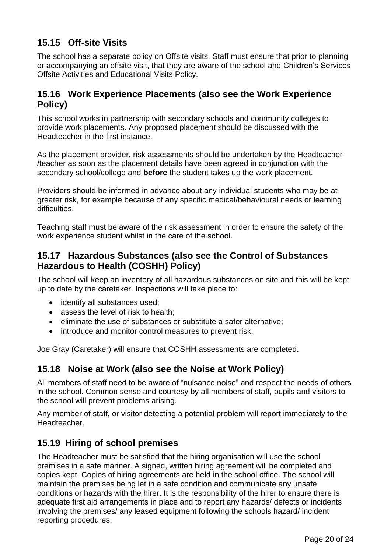### **15.15 Off-site Visits**

The school has a separate policy on Offsite visits. Staff must ensure that prior to planning or accompanying an offsite visit, that they are aware of the school and Children's Services Offsite Activities and Educational Visits Policy.

### **15.16 Work Experience Placements (also see the Work Experience Policy)**

This school works in partnership with secondary schools and community colleges to provide work placements. Any proposed placement should be discussed with the Headteacher in the first instance.

As the placement provider, risk assessments should be undertaken by the Headteacher /teacher as soon as the placement details have been agreed in conjunction with the secondary school/college and **before** the student takes up the work placement.

Providers should be informed in advance about any individual students who may be at greater risk, for example because of any specific medical/behavioural needs or learning difficulties.

Teaching staff must be aware of the risk assessment in order to ensure the safety of the work experience student whilst in the care of the school.

### **15.17 Hazardous Substances (also see the Control of Substances Hazardous to Health (COSHH) Policy)**

The school will keep an inventory of all hazardous substances on site and this will be kept up to date by the caretaker. Inspections will take place to:

- identify all substances used;
- assess the level of risk to health;
- eliminate the use of substances or substitute a safer alternative;
- introduce and monitor control measures to prevent risk.

Joe Gray (Caretaker) will ensure that COSHH assessments are completed.

### **15.18 Noise at Work (also see the Noise at Work Policy)**

All members of staff need to be aware of "nuisance noise" and respect the needs of others in the school. Common sense and courtesy by all members of staff, pupils and visitors to the school will prevent problems arising.

Any member of staff, or visitor detecting a potential problem will report immediately to the Headteacher.

### **15.19 Hiring of school premises**

The Headteacher must be satisfied that the hiring organisation will use the school premises in a safe manner. A signed, written hiring agreement will be completed and copies kept. Copies of hiring agreements are held in the school office. The school will maintain the premises being let in a safe condition and communicate any unsafe conditions or hazards with the hirer. It is the responsibility of the hirer to ensure there is adequate first aid arrangements in place and to report any hazards/ defects or incidents involving the premises/ any leased equipment following the schools hazard/ incident reporting procedures.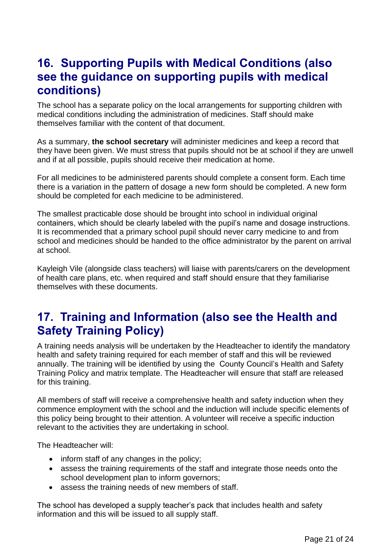### <span id="page-20-0"></span>**16. Supporting Pupils with Medical Conditions (also see the guidance on supporting pupils with medical conditions)**

The school has a separate policy on the local arrangements for supporting children with medical conditions including the administration of medicines. Staff should make themselves familiar with the content of that document.

As a summary, **the school secretary** will administer medicines and keep a record that they have been given. We must stress that pupils should not be at school if they are unwell and if at all possible, pupils should receive their medication at home.

For all medicines to be administered parents should complete a consent form. Each time there is a variation in the pattern of dosage a new form should be completed. A new form should be completed for each medicine to be administered.

The smallest practicable dose should be brought into school in individual original containers, which should be clearly labeled with the pupil's name and dosage instructions. It is recommended that a primary school pupil should never carry medicine to and from school and medicines should be handed to the office administrator by the parent on arrival at school.

Kayleigh Vile (alongside class teachers) will liaise with parents/carers on the development of health care plans, etc. when required and staff should ensure that they familiarise themselves with these documents.

### <span id="page-20-1"></span>**17. Training and Information (also see the Health and Safety Training Policy)**

A training needs analysis will be undertaken by the Headteacher to identify the mandatory health and safety training required for each member of staff and this will be reviewed annually. The training will be identified by using the County Council's Health and Safety Training Policy and matrix template. The Headteacher will ensure that staff are released for this training.

All members of staff will receive a comprehensive health and safety induction when they commence employment with the school and the induction will include specific elements of this policy being brought to their attention. A volunteer will receive a specific induction relevant to the activities they are undertaking in school.

The Headteacher will:

- inform staff of any changes in the policy;
- assess the training requirements of the staff and integrate those needs onto the school development plan to inform governors;
- assess the training needs of new members of staff.

The school has developed a supply teacher's pack that includes health and safety information and this will be issued to all supply staff.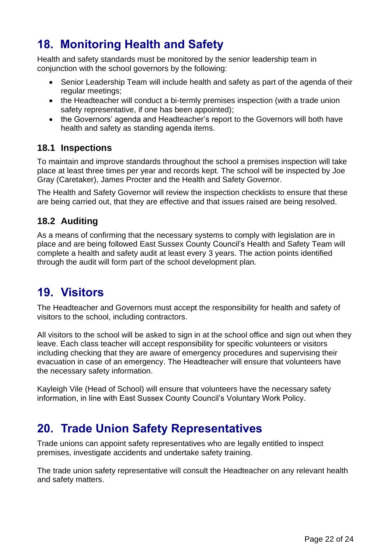# <span id="page-21-0"></span>**18. Monitoring Health and Safety**

Health and safety standards must be monitored by the senior leadership team in conjunction with the school governors by the following:

- Senior Leadership Team will include health and safety as part of the agenda of their regular meetings;
- the Headteacher will conduct a bi-termly premises inspection (with a trade union safety representative, if one has been appointed);
- the Governors' agenda and Headteacher's report to the Governors will both have health and safety as standing agenda items.

### **18.1 Inspections**

To maintain and improve standards throughout the school a premises inspection will take place at least three times per year and records kept. The school will be inspected by Joe Gray (Caretaker), James Procter and the Health and Safety Governor.

The Health and Safety Governor will review the inspection checklists to ensure that these are being carried out, that they are effective and that issues raised are being resolved.

### **18.2 Auditing**

As a means of confirming that the necessary systems to comply with legislation are in place and are being followed East Sussex County Council's Health and Safety Team will complete a health and safety audit at least every 3 years. The action points identified through the audit will form part of the school development plan.

### <span id="page-21-1"></span>**19. Visitors**

The Headteacher and Governors must accept the responsibility for health and safety of visitors to the school, including contractors.

All visitors to the school will be asked to sign in at the school office and sign out when they leave. Each class teacher will accept responsibility for specific volunteers or visitors including checking that they are aware of emergency procedures and supervising their evacuation in case of an emergency. The Headteacher will ensure that volunteers have the necessary safety information.

Kayleigh Vile (Head of School) will ensure that volunteers have the necessary safety information, in line with East Sussex County Council's Voluntary Work Policy.

### <span id="page-21-2"></span>**20. Trade Union Safety Representatives**

Trade unions can appoint safety representatives who are legally entitled to inspect premises, investigate accidents and undertake safety training.

The trade union safety representative will consult the Headteacher on any relevant health and safety matters.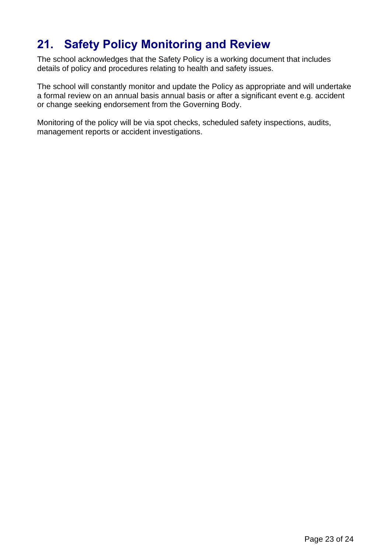# <span id="page-22-0"></span>**21. Safety Policy Monitoring and Review**

The school acknowledges that the Safety Policy is a working document that includes details of policy and procedures relating to health and safety issues.

The school will constantly monitor and update the Policy as appropriate and will undertake a formal review on an annual basis annual basis or after a significant event e.g. accident or change seeking endorsement from the Governing Body.

Monitoring of the policy will be via spot checks, scheduled safety inspections, audits, management reports or accident investigations.